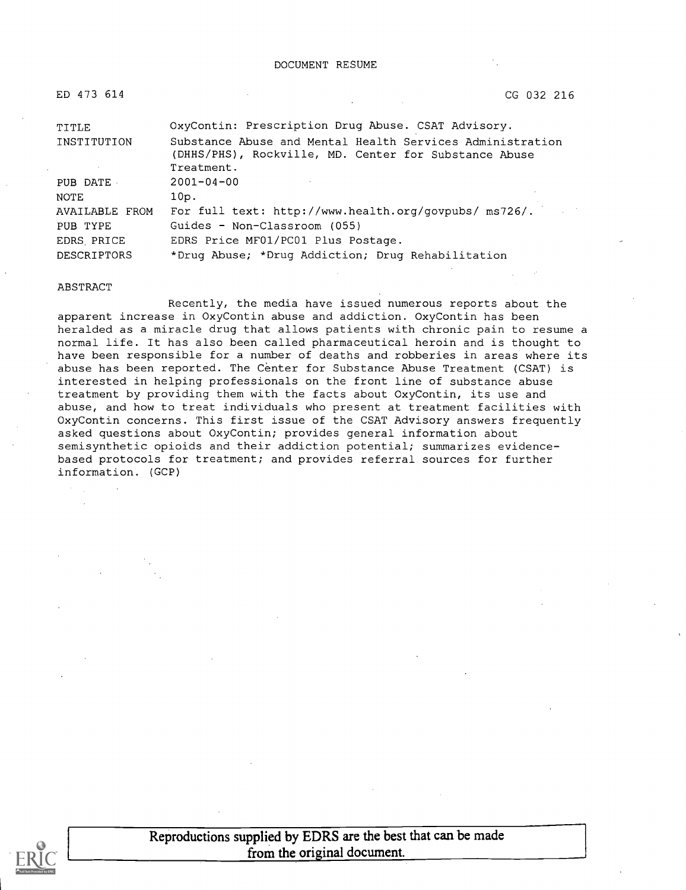| ED 473 614         | CG 032 216                                                                                                                       |
|--------------------|----------------------------------------------------------------------------------------------------------------------------------|
| TITLE              | OxyContin: Prescription Drug Abuse. CSAT Advisory.                                                                               |
| INSTITUTION        | Substance Abuse and Mental Health Services Administration<br>(DHHS/PHS), Rockville, MD. Center for Substance Abuse<br>Treatment. |
| PUB DATE           | $2001 - 04 - 00$                                                                                                                 |
| NOTE               | 10p.                                                                                                                             |
| AVAILABLE FROM     | For full text: http://www.health.org/govpubs/ ms726/.                                                                            |
| PUB TYPE           | Guides - Non-Classroom (055)                                                                                                     |
| EDRS PRICE         | EDRS Price MF01/PC01 Plus Postage.                                                                                               |
| <b>DESCRIPTORS</b> | *Drug Abuse; *Drug Addiction; Drug Rehabilitation                                                                                |

#### ABSTRACT

Recently, the media have issued numerous reports about the apparent increase in OxyContin abuse and addiction. OxyContin has been heralded as a miracle drug that allows patients with chronic pain to resume a normal life. It has also been called pharmaceutical heroin and is thought to have been responsible for a number of deaths and robberies in areas where its abuse has been reported. The Center for Substance Abuse Treatment (CSAT) is interested in helping professionals on the front line of substance abuse treatment by providing them with the facts about OxyContin, its use and abuse, and how to treat individuals who present at treatment facilities with OxyContin concerns. This first issue of the CSAT Advisory answers frequently asked questions about OxyContin; provides general information about semisynthetic opioids and their addiction potential; summarizes evidencebased protocols for treatment; and provides referral sources for further information. (GCP)



Reproductions supplied by EDRS are the best that can be made from the original document.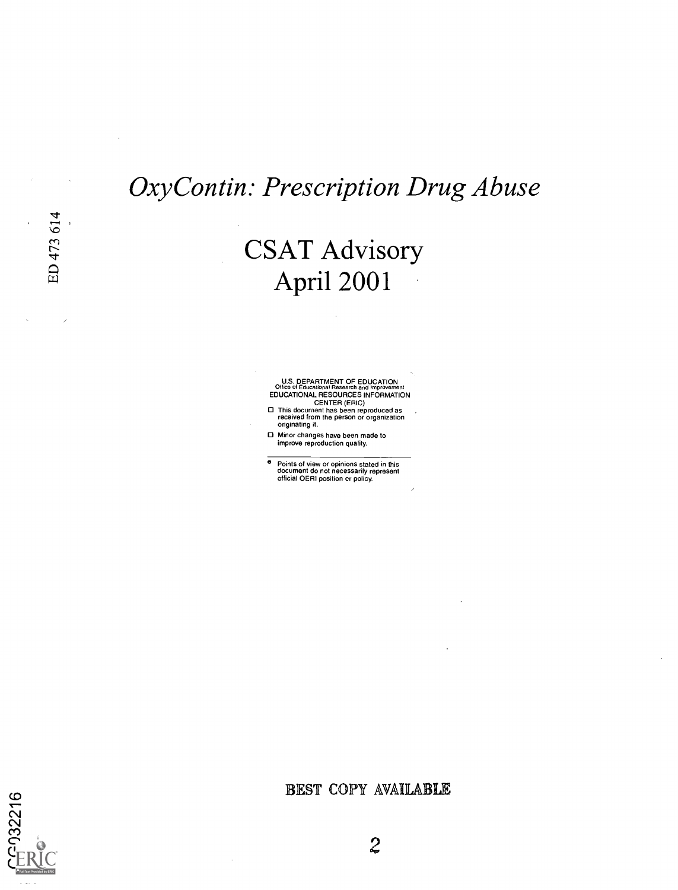### OxyContin: Prescription Drug Abuse

CSAT Advisory April 2001

U.S. DEPARTMENT OF EDUCATION<br>Office of Educational Research and Improvement<br>EDUCATIONAL RESOURCES INFORMATION<br>CENTER (ERIC)<br>This document has been reproduced as<br>received from the person or organization<br>originating it.

Minor changes have been made to improve reproduction quality.

e Points of view or opinions stated in this document do not necessarily represent official OERI position cr policy.

BEST COPY AVAILABLE



 $\ddot{\phantom{a}}$ 

G032216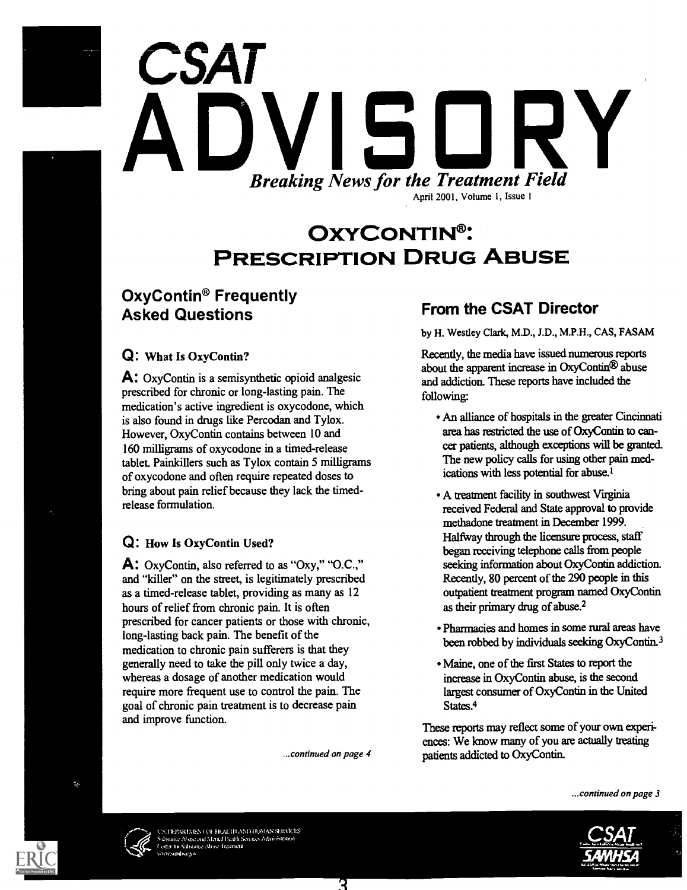# **CSAT** ADVISORY Breaking News for the Treatment Field April 2001, Volume I, Issue 1

### OXYCONTIN<sup>®</sup>: PRESCRIPTION DRUG ABUSE

### OxyContin® Frequently Asked Questions

### Q: What Is OxyContin?

A: OxyContin is a semisynthetic opioid analgesic prescribed for chronic or long-lasting pain. The medication's active ingredient is oxycodone, which is also found in drugs like Percodan and Tylox. However, OxyContin contains between 10 and 160 milligrams of oxycodone in a timed-release tablet. Painkillers such as Tylox contain 5 milligrams of oxycodone and often require repeated doses to bring about pain relief because they lack the timedrelease formulation.

### Q: How Is OxyContin Used?

A: OxyContin, also referred to as "Oxy," "O.C.," and "killer" on the street, is legitimately prescribed as a timed-release tablet, providing as many as 12 hours of relief from chronic pain. It is often prescribed for cancer patients or those with chronic, long-lasting back pain. The benefit of the medication to chronic pain sufferers is that they generally need to take the pill only twice a day, whereas a dosage of another medication would require more frequent use to control the pain. The goal of chronic pain treatment is to decrease pain and improve function.

...continued on page 4

R

### From the CSAT Director

by H. Westley Clark, M.D., J.D., M.P.H., CAS, FASAM

Recently, the media have issued numerous reports about the apparent increase in OxyContin® abuse and addiction. These reports have included the following:

- An alliance of hospitals in the greater Cincinnati area has restricted the use of OxyContin to cancer patients, although exceptions will be granted. The new policy calls for using other pain medications with less potential for abuse.'
- A treatment facility in southwest Virginia received Federal and State approval to provide methadone treatment in December 1999. Halfway through the licensure process, staff began receiving telephone calls from people seeking information about OxyContin addiction. Recently, 80 percent of the 290 people in this outpatient treatment program named OxyContin as their primary drug of abuse.<sup>2</sup>
- Pharmacies and homes in some rural areas have been robbed by individuals seeking OxyContin.3
- Maine, one of the first States to report the increase in OxyContin abuse, is the second largest consumer of OxyContin in the United States.<sup>4</sup>

These reports may reflect some of your own experiences: We know many of you are actually treating patients addicted to OxyContin.





EIMENT OF HEALTH AND HUMAN SERVICES ac., Abase., and Montal Health Services Administration Ito S1.1.01,, Al, t. Tezdmotl

 $\mathcal{C}_k$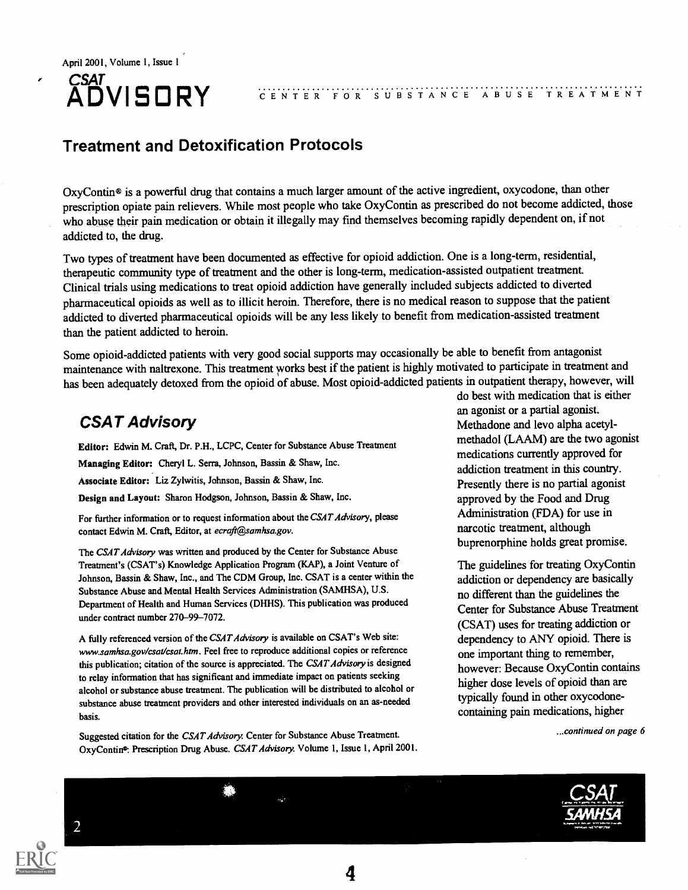## **CSAT<br>ADVISORY**

ADVISORY CENTER FOR SUBSTANCE ABUSE TREATMENT

### Treatment and Detoxification Protocols

OxyContin® is a powerful drug that contains a much larger amount of the active ingredient, oxycodone, than other prescription opiate pain relievers. While most people who take OxyContin as prescribed do not become addicted, those who abuse their pain medication or obtain it illegally may find themselves becoming rapidly dependent on, if not addicted to, the drug.

Two types of treatment have been documented as effective for opioid addiction. One is a long-term, residential, therapeutic community type of treatment and the other is long-term, medication-assisted outpatient treatment. Clinical trials using medications to treat opioid addiction have generally included subjects addicted to diverted pharmaceutical opioids as well as to illicit heroin. Therefore, there is no medical reason to suppose that the patient addicted to diverted pharmaceutical opioids will be any less likely to benefit from medication-assisted treatment than the patient addicted to heroin.

Some opioid-addicted patients with very good social supports may occasionally be able to benefit from antagonist maintenance with naltrexone. This treatment works best if the patient is highly motivated to participate in treatment and has been adequately detoxed from the opioid of abuse. Most opioid-addicted patients in outpatient therapy, however, will

Editor: Edwin M. Craft, Dr. P.H., LCPC, Center for Substance Abuse Treatment

Managing Editor: Cheryl L. Serra, Johnson, Bassin & Shaw, Inc.

Associate Editor: Liz Zylwitis, Johnson, Bassin & Shaw, Inc.

Design and Layout: Sharon Hodgson, Johnson, Bassin & Shaw, Inc.

For further information or to request information about the CSAT Advisory, please contact Edwin M. Craft, Editor, at ecraft@samhsa.gov.

The CSAT Advisory was written and produced by the Center for Substance Abuse Treatment's (CSAT's) Knowledge Application Program (KAP), a Joint Venture of Johnson, Bassin & Shaw, Inc., and The CDM Group, Inc. CSAT is a center within the Substance Abuse and Mental Health Services Administration (SAMHSA), U.S. Department of Health and Human Services (DHHS). This publication was produced under contract number 270-99-7072.

A fully referenced version of the CSAT Advisory is available on CSAT's Web site: www.samhsa.gov/csat/csat.htm. Feel free to reproduce additional copies or reference this publication; citation of the source is appreciated. The CSAT Advisory is designed to relay information that has significant and immediate impact on patients seeking alcohol or substance abuse treatment. The publication will be distributed to alcohol or substance abuse treatment providers and other interested individuals on an as-needed basis.

Suggested citation for the CSAT Advisory. Center for Substance Abuse Treatment. OxyContin<sup>o</sup>: Prescription Drug Abuse. CSAT Advisory. Volume 1, Issue 1, April 2001.

do best with medication that is either an agonist or a partial agonist.<br> **CSAT Advisory** Methadone and levo alpha acetylmethadol (LAAM) are the two agonist medications currently approved for addiction treatment in this country. Presently there is no partial agonist approved by the Food and Drug Administration (FDA) for use in narcotic treatment, although buprenorphine holds great promise.

> The guidelines for treating OxyContin addiction or dependency are basically no different than the guidelines the Center for Substance Abuse Treatment (CSAT) uses for treating addiction or dependency to ANY opioid. There is one important thing to remember, however: Because OxyContin contains higher dose levels of opioid than are typically found in other oxycodonecontaining pain medications, higher

> > ...continued on page 6

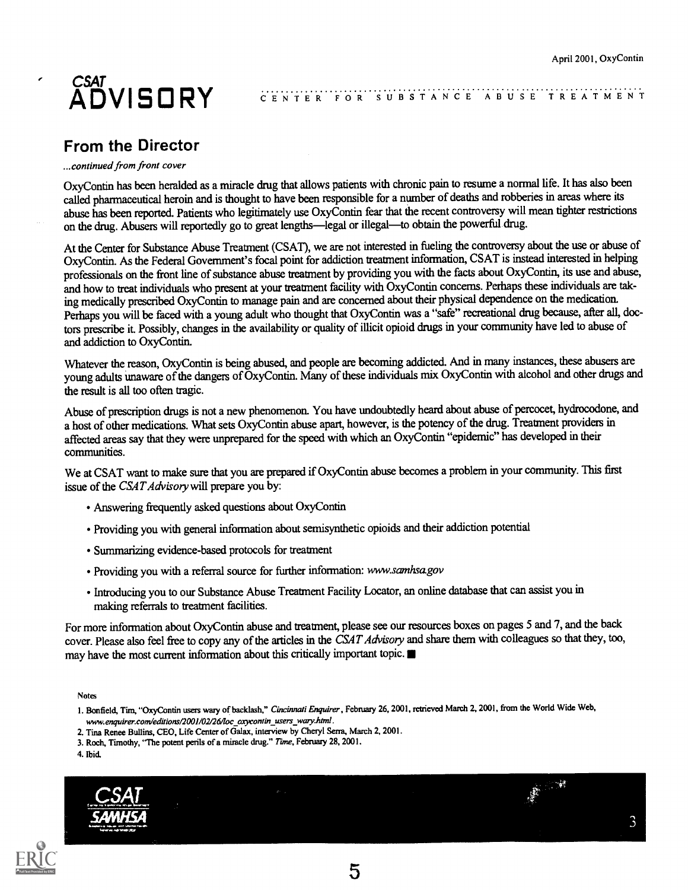### $CSAI$ ,  $\overline{A}$ ADVISORY CENTER FOR'S

### CENTER FOR SUBSTANCE ABUSE TREATMENT

### From the Director

#### ...continued from front cover

 $\epsilon$ 

OxyContin has been heralded as a miracle drug that allows patients with chronic pain to resume a normal life. It has also been called pharmaceutical heroin and is thought to have been responsible for a number of deaths and robberies in areas where its abuse has been reported. Patients who legitimately use OxyContin fear that the recent controversy will mean tighter restrictions on the drug. Abusers will reportedly go to great lengths-legal or illegal-to obtain the powerful drug.

At the Center for Substance Abuse Treatment (CSAT), we are not interested in fueling the controversy about the use or abuse of OxyContin. As the Federal Government's focal point for addiction treatment information, CSAT is instead interested in helping professionals on the front line of substance abuse treatment by providing you with the facts about OxyContin, its use and abuse, and how to treat individuals who present at your treatment facility with OxyContin concerns. Perhaps these individuals are taking medically prescribed OxyContin to manage pain and are concerned about their physical dependence on the medication. Perhaps you will be faced with a young adult who thought that OxyContin was a "safe" recreational drug because, after all, doctors prescribe it. Possibly, changes in the availability or quality of illicit opioid drugs in your community have led to abuse of and addiction to OxyContin.

Whatever the reason, OxyContin is being abused, and people are becoming addicted. And in many instances, these abusers are young adults unaware of the dangers of OxyContin. Many of these individuals mix OxyContin with alcohol and other drugs and the result is all too often tragic.

Abuse of prescription drugs is not a new phenomenon. You have undoubtedly heard about abuse of percocet, hydrocodone, and a host of other medications. What sets OxyContin abuse apart, however, is the potency of the drug. Treatment providers in affected areas say that they were unprepared for the speed with which an OxyContin "epidemic" has developed in their communities.

We at CSAT want to make sure that you are prepared if OxyContin abuse becomes a problem in your community. This first issue of the CSAT Advisory will prepare you by:

- Answering frequently asked questions about OxyContin
- Providing you with general information about semisynthetic opioids and their addiction potential
- Summarizing evidence-based protocols for treatment
- Providing you with a referral source for further information: www.samhsa.gov
- Introducing you to our Substance Abuse Treatment Facility Locator, an online database that can assist you in making referrals to treatment facilities.

For more information about OxyContin abuse and treatment, please see our resources boxes on pages 5 and 7, and the back cover. Please also feel free to copy any of the articles in the CSAT Advisory and share them with colleagues so that they, too, may have the most current information about this critically important topic.

Notes

- 1. Bonfield, Tim, "OxyContin users wary of backlash," Cincinnati Enquirer, February 26, 2001, retrieved March 2, 2001, from the World Wide Web, mov.enquirer.comieditions/2001/02/26/loc\_oxyconiin\_users\_wary.html.
- 2. Tina Renee Bullins, CEO, Life Center of Galax, interview by Cheryl Serra, March 2, 2001.
- 3. Roch, Timothy, "The potent perils of a miracle drug." Time, February 28, 2001.
- 4. Ibid.



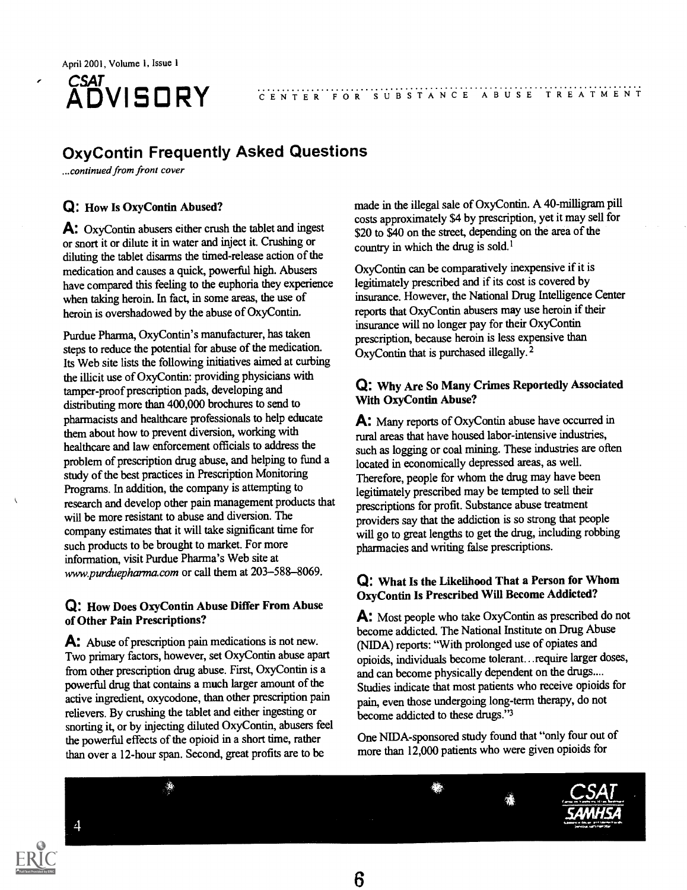

#### ADVISORY CENTER FOR SUBSTANCE ABUSE TREATMENT

### OxyContin Frequently Asked Questions

...continued from front cover

### Q: How Is OxyContin Abused?

A: OxyContin abusers either crush the tablet and ingest or snort it or dilute it in water and inject it. Crushing or diluting the tablet disarms the timed-release action of the medication and causes a quick, powerful high. Abusers have compared this feeling to the euphoria they experience when taking heroin. In fact, in some areas, the use of heroin is overshadowed by the abuse of OxyContin.

Purdue Pharma, OxyContin's manufacturer, has taken steps to reduce the potential for abuse of the medication. Its Web site lists the following initiatives aimed at curbing the illicit use of OxyContin: providing physicians with tamper-proof prescription pads, developing and distributing more than 400,000 brochures to send to pharmacists and healthcare professionals to help educate them about how to prevent diversion, working with healthcare and law enforcement officials to address the problem of prescription drug abuse, and helping to fund a study of the best practices in Prescription Monitoring Programs. In addition, the company is attempting to research and develop other pain management products that will be more resistant to abuse and diversion. The company estimates that it will take significant time for such products to be brought to market. For more information, visit Purdue Pharma's Web site at www.purduepharma.com or call them at 203-588-8069.

### Q: How Does OxyContin Abuse Differ From Abuse of Other Pain Prescriptions?

A: Abuse of prescription pain medications is not new. Two primary factors, however, set OxyContin abuse apart from other prescription drug abuse. First, OxyContin is a powerful drug that contains a much larger amount of the active ingredient, oxycodone, than other prescription pain relievers. By crushing the tablet and either ingesting or snorting it, or by injecting diluted OxyContin, abusers feel the powerful effects of the opioid in a short time, rather than over a 12-hour span. Second, great profits are to be

made in the illegal sale of OxyContin. A 40-milligram pill costs approximately \$4 by prescription, yet it may sell for \$20 to \$40 on the street, depending on the area of the country in which the drug is sold.<sup>1</sup>

OxyContin can be comparatively inexpensive if it is legitimately prescribed and if its cost is covered by insurance. However, the National Drug Intelligence Center reports that OxyContin abusers may use heroin if their insurance will no longer pay for their OxyContin prescription, because heroin is less expensive than OxyContin that is purchased illegally.<sup>2</sup>

### Q: Why Are So Many Crimes Reportedly Associated With OxyContin Abuse?

A: Many reports of OxyContin abuse have occurred in rural areas that have housed labor-intensive industries, such as logging or coal mining. These industries are often located in economically depressed areas, as well. Therefore, people for whom the drug may have been legitimately prescribed may be tempted to sell their prescriptions for profit. Substance abuse treatment providers say that the addiction is so strong that people will go to great lengths to get the drug, including robbing pharmacies and writing false prescriptions.

### Q: What Is the Likelihood That a Person for Whom OxyContin Is Prescribed Will Become Addicted?

A: Most people who take OxyContin as prescribed do not become addicted. The National Institute on Drug Abuse (NIDA) reports: "With prolonged use of opiates and opioids, individuals become tolerant...require larger doses, and can become physically dependent on the drugs.... Studies indicate that most patients who receive opioids for pain, even those undergoing long-term therapy, do not become addicted to these drugs."3

One NIDA-sponsored study found that "only four out of more than 12,000 patients who were given opioids for

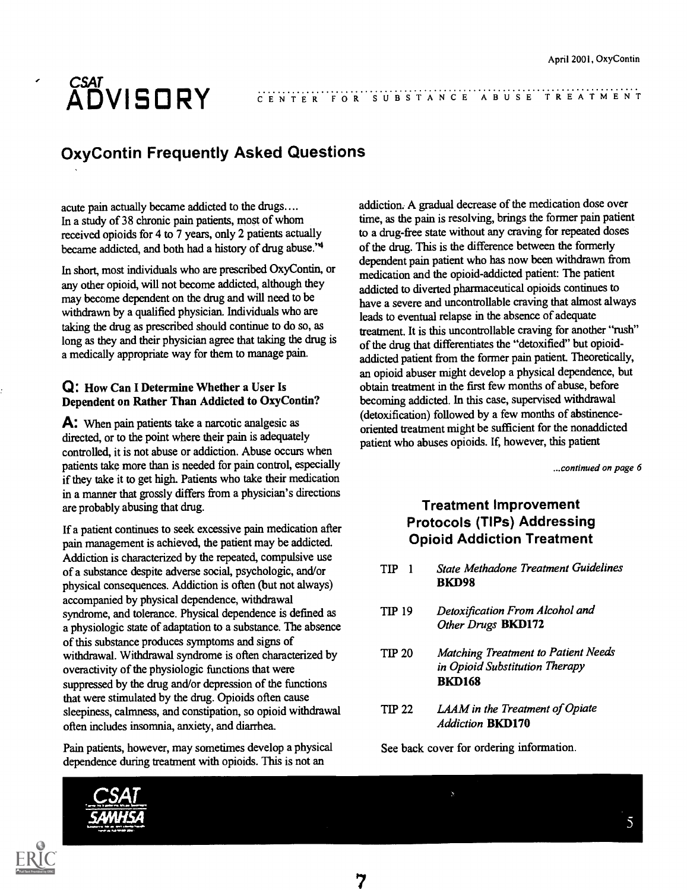### CSAI... ADVISORY CENTER FOR'S

### CENTER FOR SUBSTANCE ABUSE TREATMENT

### OxyContin Frequently Asked Questions

acute pain actually became addicted to the drugs.... In a study of 38 chronic pain patients, most of whom received opioids for 4 to 7 years, only 2 patients actually became addicted, and both had a history of drug abuse."4

In short, most individuals who are prescribed OxyContin, or any other opioid, will not become addicted, although they may become dependent on the drug and will need to be withdrawn by a qualified physician. Individuals who are taking the drug as prescribed should continue to do so, as long as they and their physician agree that taking the drug is a medically appropriate way for them to manage pain.

### Q: How Can I Determine Whether a User Is Dependent on Rather Than Addicted to OxyContin?

A: When pain patients take a narcotic analgesic as directed, or to the point where their pain is adequately controlled, it is not abuse or addiction. Abuse occurs when patients take more than is needed for pain control, especially if they take it to get high. Patients who take their medication in a manner that grossly differs from a physician's directions are probably abusing that drug.

If a patient continues to seek excessive pain medication after pain management is achieved, the patient may be addicted. Addiction is characterized by the repeated, compulsive use of a substance despite adverse social, psychologic, and/or physical consequences. Addiction is often (but not always) accompanied by physical dependence, withdrawal syndrome, and tolerance. Physical dependence is defined as a physiologic state of adaptation to a substance. The absence of this substance produces symptoms and signs of withdrawal. Withdrawal syndrome is often characterized by TIP 20 overactivity of the physiologic functions that were suppressed by the drug and/or depression of the functions that were stimulated by the drug. Opioids often cause sleepiness, calmness, and constipation, so opioid withdrawal often includes insomnia, anxiety, and diarrhea.

Pain patients, however, may sometimes develop a physical dependence during treatment with opioids. This is not an

addiction. A gradual decrease of the medication dose over time, as the pain is resolving, brings the former pain patient to a drug-free state without any craving for repeated doses of the drug. This is the difference between the formerly dependent pain patient who has now been withdrawn from medication and the opioid-addicted patient: The patient addicted to diverted pharmaceutical opioids continues to have a severe and uncontrollable craving that almost always leads to eventual relapse in the absence of adequate treatment. It is this uncontrollable craving for another "rush" of the drug that differentiates the "detoxified" but opioidaddicted patient from the former pain patient. Theoretically, an opioid abuser might develop a physical dependence, but obtain treatment in the first few months of abuse, before becoming addicted. In this case, supervised withdrawal (detoxification) followed by a few months of abstinenceoriented treatment might be sufficient for the nonaddicted patient who abuses opioids. If, however, this patient

...continued on page 6

### Treatment Improvement Protocols (TIPs) Addressing Opioid Addiction Treatment

- TIP <sup>1</sup> State Methadone Treatment Guidelines BKD98
- TIP 19 Detoxification From Alcohol and Other Drugs BKD172
- Matching Treatment to Patient Needs in Opioid Substitution Therapy BKD168
- TIP 22 LAAM in the Treatment of Opiate **Addiction BKD170**

See back cover for ordering information.

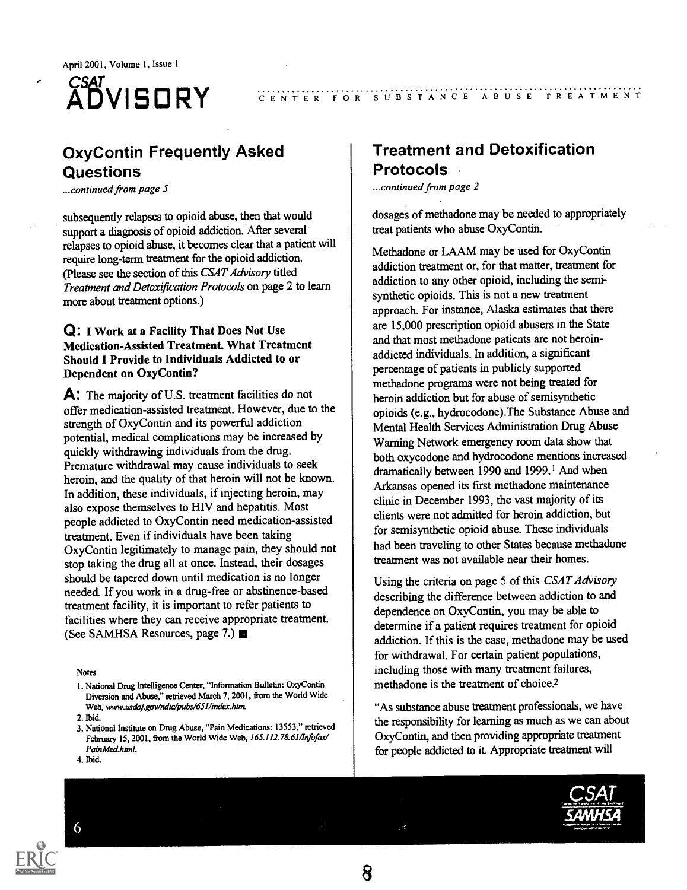

### CENTER FOR SUBSTANCE ABUSE TREATMENT

### OxyContin Frequently Asked Questions

...continued from page 5

subsequently relapses to opioid abuse, then that would support a diagnosis of opioid addiction. After several relapses to opioid abuse, it becomes clear that a patient will require long-term treatment for the opioid addiction. (Please see the section of this CSAT Advisory titled Treatment and Detoxification Protocols on page 2 to learn more about treatment options.)

#### Q: I Work at a Facility That Does Not Use Medication-Assisted Treatment. What Treatment Should I Provide to Individuals Addicted to or Dependent on OxyContin?

A: The majority of U.S. treatment facilities do not offer medication-assisted treatment. However, due to the strength of OxyContin and its powerful addiction potential, medical complications may be increased by quickly withdrawing individuals from the drug. Premature withdrawal may cause individuals to seek heroin, and the quality of that heroin will not be known. In addition, these individuals, if injecting heroin, may also expose themselves to HIV and hepatitis. Most people addicted to OxyContin need medication-assisted treatment. Even if individuals have been taking OxyContin legitimately to manage pain, they should not stop taking the drug all at once. Instead, their dosages should be tapered down until medication is no longer needed. If you work in a drug-free or abstinence-based treatment facility, it is important to refer patients to facilities where they can receive appropriate treatment. (See SAMHSA Resources, page 7.)

Notes

### Treatment and Detoxification Protocols

...continued from page 2

dosages of methadone may be needed to appropriately treat patients who abuse OxyContin.

Methadone or LAAM may be used for OxyContin addiction treatment or, for that matter, treatment for addiction to any other opioid, including the semisynthetic opioids. This is not a new treatment approach. For instance, Alaska estimates that there are 15,000 prescription opioid abusers in the State and that most methadone patients are not heroinaddicted individuals. In addition, a significant percentage of patients in publicly supported methadone programs were not being treated for heroin addiction but for abuse of semisynthetic opioids (e.g., hydrocodone).The Substance Abuse and Mental Health Services Administration Drug Abuse Warning Network emergency room data show that both oxycodone and hydrocodone mentions increased dramatically between 1990 and 1999.<sup>1</sup> And when Arkansas opened its first methadone maintenance clinic in December 1993, the vast majority of its clients were not admitted for heroin addiction, but for semisynthetic opioid abuse. These individuals had been traveling to other States because methadone treatment was not available near their homes.

Using the criteria on page 5 of this CSAT Advisory describing the difference between addiction to and dependence on OxyContin, you may be able to determine if a patient requires treatment for opioid addiction. If this is the case, methadone may be used for withdrawal. For certain patient populations, including those with many treatment failures, methadone is the treatment of choice.<sup>2</sup>

"As substance abuse treatment professionals, we have the responsibility for learning as much as we can about OxyContin, and then providing appropriate treatment for people addicted to it. Appropriate treatment will

6





<sup>1.</sup> National Drug Intelligence Center, "Information Bulletin: OxyContin Diversion and Abuse," retrieved March 7, 2001, from the World Wide Web, www.usdoj.gov/ndic/pubs/651/index.htm.

<sup>2.</sup> Ibid.

<sup>3.</sup> National Institute on Drug Abuse, "Pain Medications: 13553," retrieved February 15, 2001, from the World Wide Web, 165.112.78.61/Infofax/ PainMed.html.

<sup>4.</sup> Ibid.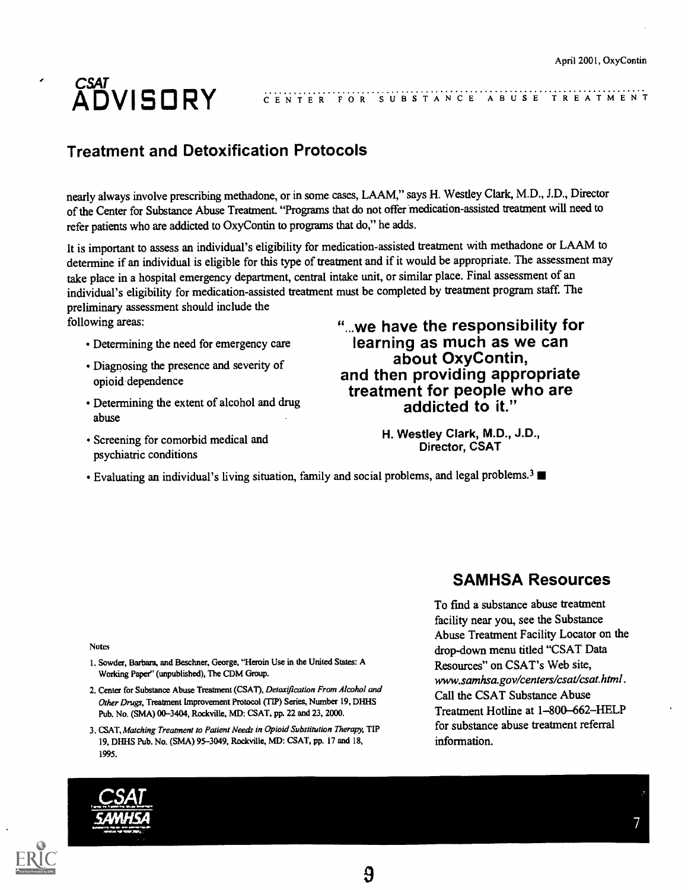## ADVISORY CENTER FOR S

CENTER FOR SUBSTANCE ABUSE TREATMENT

### Treatment and Detoxification Protocols

nearly always involve prescribing methadone, or in some cases, LAAM," says H. Westley Clark, M.D., J.D., Director of the Center for Substance Abuse Treatment "Programs that do not offer medication-assisted treatment will need to refer patients who are addicted to OxyContin to programs that do," he adds.

It is important to assess an individual's eligibility for medication-assisted treatment with methadone or LAAM to determine if an individual is eligible for this type of treatment and if it would be appropriate. The assessment may take place in a hospital emergency department, central intake unit, or similar place. Final assessment of an individual's eligibility for medication-assisted treatment must be completed by treatment program staff. The preliminary assessment should include the

following areas:

- Determining the need for emergency care
- Diagnosing the presence and severity of opioid dependence
- Determining the extent of alcohol and drug abuse
- Screening for comorbid medical and psychiatric conditions

"...we have the responsibility for learning as much as we can and then providing appropriate treatment for people who are addicted to it."

> H. Westley Clark, M.D., J.D., Director, CSAT

• Evaluating an individual's living situation, family and social problems, and legal problems.<sup>3</sup>

Notes

- 1. Sowder, Barbara, and Beschner, George, "Heroin Use in the United States: A Working Paper" (unpublished), The CDM Group.
- 2. Center for Substance Abuse Treatment (CSAT), Detoxification From Alcohol and Other Drugs, Treatment Improvement Protocol (TIP) Series, Number 19, DHHS Pub. No. (SMA) 00-3404, Rockville, MD: CSAT, pp. 22 and 23, 2000.
- 3. CSAT, Matching Treatment to Patient Needs in Opioid Substitution Therapy, TIP 19, DHHS Pub. No. (SMA) 95-3049, Rockville, MD: CSAT, pp. 17 and 18, 1995.

### SAMHSA Resources

To find a substance abuse treatment facility near you, see the Substance Abuse Treatment Facility Locator on the drop-down menu titled "CSAT Data Resources" on CSAT's Web site, www.samhsa.gov/centers/csat/csat.html. Call the CSAT Substance Abuse Treatment Hotline at 1-800-662-HELP for substance abuse treatment referral information.

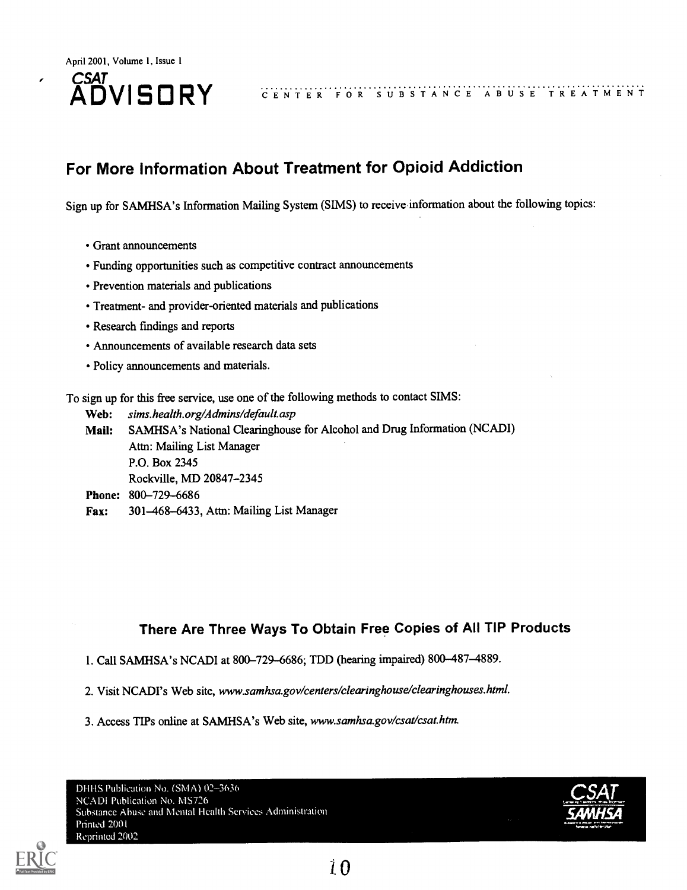## $CSA$ ,  $\ldots$   $\ldots$

### ADVISORY CENTER FOR SUBSTANCE ABUSE TREATMENT

### For More Information About Treatment for Opioid Addiction

Sign up for SAMHSA's Information Mailing System (SIMS) to receive information about the following topics:

- Grant announcements
- Funding opportunities such as competitive contract announcements
- Prevention materials and publications
- Treatment- and provider-oriented materials and publications
- Research findings and reports
- Announcements of available research data sets
- Policy announcements and materials.

To sign up for this free service, use one of the following methods to contact SIMS:

Web: sims.health.org/Admins/default.asp Mail: SAMHSA's National Clearinghouse for Alcohol and Drug Information (NCADI) Attn: Mailing List Manager P.O. Box 2345 Rockville, MD 20847-2345 Phone: 800-729-6686 Fax: 301-468-6433, Attn: Mailing List Manager

### There Are Three Ways To Obtain Free Copies of All TIP Products

- 1. Call SAMHSA's NCADI at 800-729-6686; TDD (hearing impaired) 800-487-4889.
- 2. Visit NCADI's Web site, www.samhsa.gov/centers/clearinghouse/clearinghouses.html.
- 3. Access TIPs online at SAMHSA's Web site, www.samhsa.gov/csat/csat.htm.